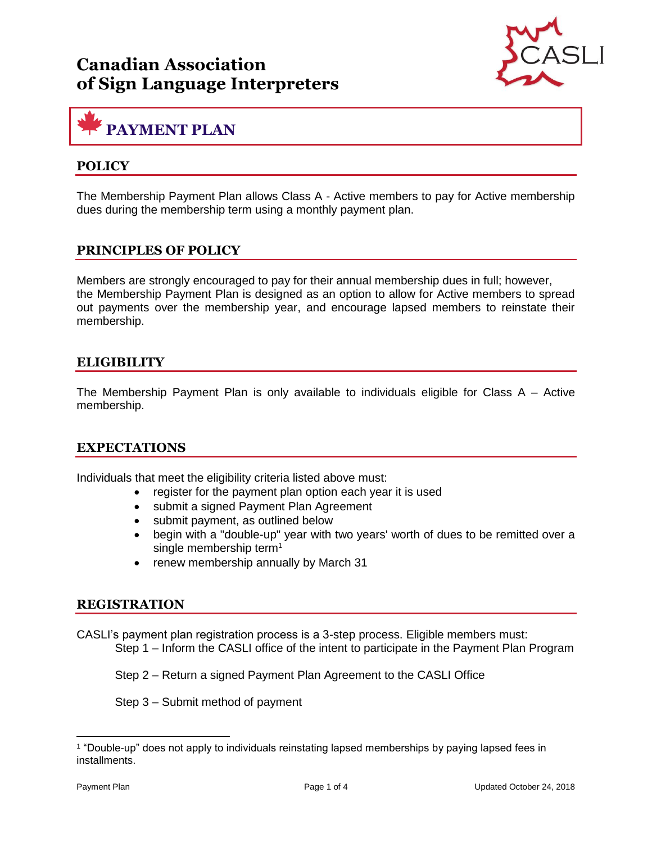

# **PAYMENT PLAN**

### **POLICY**

The Membership Payment Plan allows Class A - Active members to pay for Active membership dues during the membership term using a monthly payment plan.

#### **PRINCIPLES OF POLICY**

Members are strongly encouraged to pay for their annual membership dues in full; however, the Membership Payment Plan is designed as an option to allow for Active members to spread out payments over the membership year, and encourage lapsed members to reinstate their membership.

#### **ELIGIBILITY**

The Membership Payment Plan is only available to individuals eligible for Class  $A -$  Active membership.

#### **EXPECTATIONS**

Individuals that meet the eligibility criteria listed above must:

- register for the payment plan option each year it is used
- submit a signed Payment Plan Agreement
- submit payment, as outlined below
- begin with a "double-up" year with two years' worth of dues to be remitted over a single membership term<sup>1</sup>
- renew membership annually by March 31

#### **REGISTRATION**

CASLI's payment plan registration process is a 3-step process. Eligible members must: Step 1 – Inform the CASLI office of the intent to participate in the Payment Plan Program

Step 2 – Return a signed Payment Plan Agreement to the CASLI Office

Step 3 – Submit method of payment

<sup>1</sup> "Double-up" does not apply to individuals reinstating lapsed memberships by paying lapsed fees in installments.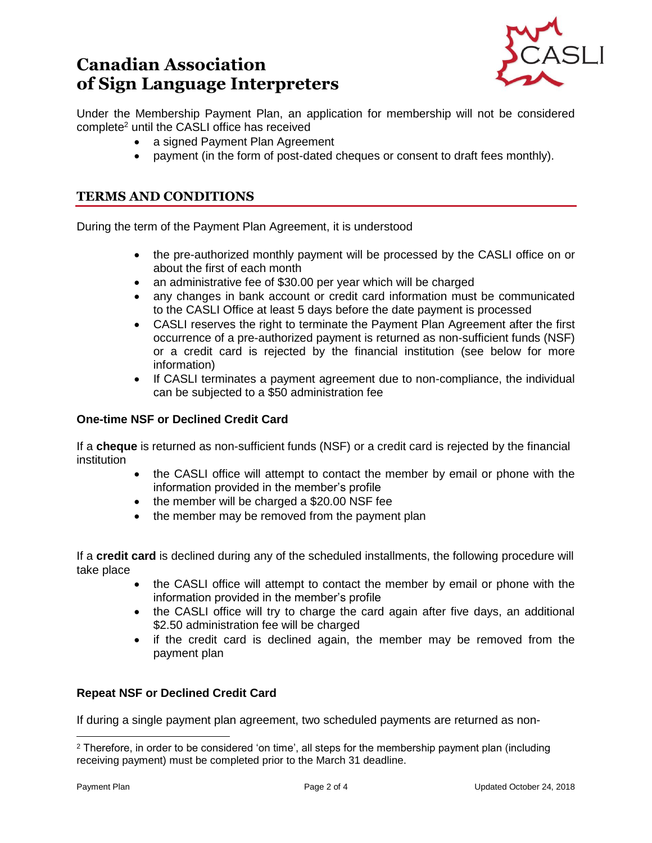

Under the Membership Payment Plan, an application for membership will not be considered complete<sup>2</sup> until the CASLI office has received

- a signed Payment Plan Agreement
- payment (in the form of post-dated cheques or consent to draft fees monthly).

### **TERMS AND CONDITIONS**

During the term of the Payment Plan Agreement, it is understood

- the pre-authorized monthly payment will be processed by the CASLI office on or about the first of each month
- an administrative fee of \$30.00 per year which will be charged
- any changes in bank account or credit card information must be communicated to the CASLI Office at least 5 days before the date payment is processed
- CASLI reserves the right to terminate the Payment Plan Agreement after the first occurrence of a pre-authorized payment is returned as non-sufficient funds (NSF) or a credit card is rejected by the financial institution (see below for more information)
- If CASLI terminates a payment agreement due to non-compliance, the individual can be subjected to a \$50 administration fee

#### **One-time NSF or Declined Credit Card**

If a **cheque** is returned as non-sufficient funds (NSF) or a credit card is rejected by the financial institution

- the CASLI office will attempt to contact the member by email or phone with the information provided in the member's profile
- the member will be charged a \$20.00 NSF fee
- the member may be removed from the payment plan

If a **credit card** is declined during any of the scheduled installments, the following procedure will take place

- the CASLI office will attempt to contact the member by email or phone with the information provided in the member's profile
- the CASLI office will try to charge the card again after five days, an additional \$2.50 administration fee will be charged
- if the credit card is declined again, the member may be removed from the payment plan

#### **Repeat NSF or Declined Credit Card**

If during a single payment plan agreement, two scheduled payments are returned as non-

<sup>2</sup> Therefore, in order to be considered 'on time', all steps for the membership payment plan (including receiving payment) must be completed prior to the March 31 deadline.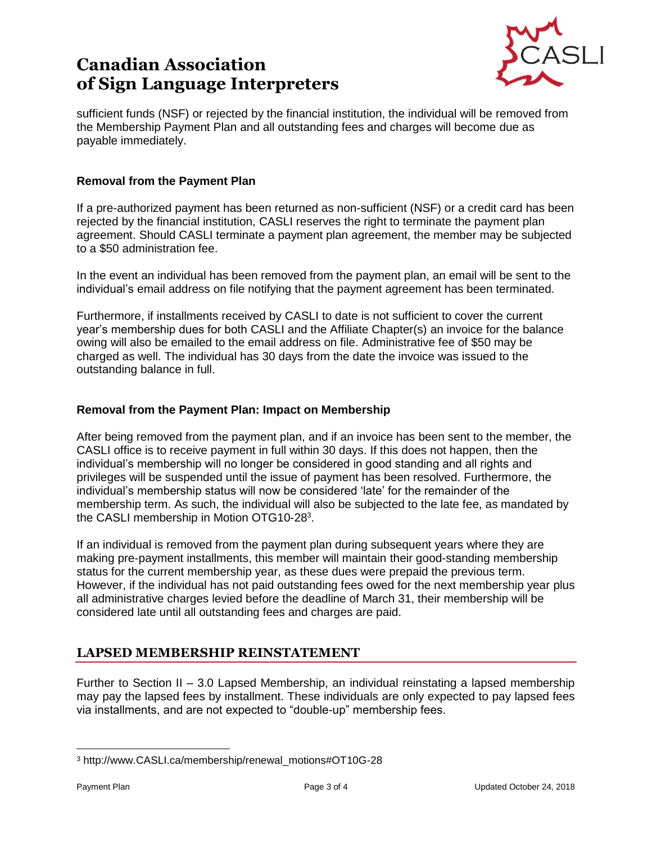

sufficient funds (NSF) or rejected by the financial institution, the individual will be removed from the Membership Payment Plan and all outstanding fees and charges will become due as payable immediately.

#### **Removal from the Payment Plan**

If a pre-authorized payment has been returned as non-sufficient (NSF) or a credit card has been rejected by the financial institution, CASLI reserves the right to terminate the payment plan agreement. Should CASLI terminate a payment plan agreement, the member may be subjected to a \$50 administration fee.

In the event an individual has been removed from the payment plan, an email will be sent to the individual's email address on file notifying that the payment agreement has been terminated.

Furthermore, if installments received by CASLI to date is not sufficient to cover the current year's membership dues for both CASLI and the Affiliate Chapter(s) an invoice for the balance owing will also be emailed to the email address on file. Administrative fee of \$50 may be charged as well. The individual has 30 days from the date the invoice was issued to the outstanding balance in full.

#### **Removal from the Payment Plan: Impact on Membership**

After being removed from the payment plan, and if an invoice has been sent to the member, the CASLI office is to receive payment in full within 30 days. If this does not happen, then the individual's membership will no longer be considered in good standing and all rights and privileges will be suspended until the issue of payment has been resolved. Furthermore, the individual's membership status will now be considered 'late' for the remainder of the membership term. As such, the individual will also be subjected to the late fee, as mandated by the CASLI membership in Motion OTG10-28<sup>3</sup>.

If an individual is removed from the payment plan during subsequent years where they are making pre-payment installments, this member will maintain their good-standing membership status for the current membership year, as these dues were prepaid the previous term. However, if the individual has not paid outstanding fees owed for the next membership year plus all administrative charges levied before the deadline of March 31, their membership will be considered late until all outstanding fees and charges are paid.

### **LAPSED MEMBERSHIP REINSTATEMENT**

Further to Section II – 3.0 Lapsed Membership, an individual reinstating a lapsed membership may pay the lapsed fees by installment. These individuals are only expected to pay lapsed fees via installments, and are not expected to "double-up" membership fees.

<sup>3</sup> http://www.CASLI.ca/membership/renewal\_motions#OT10G-28